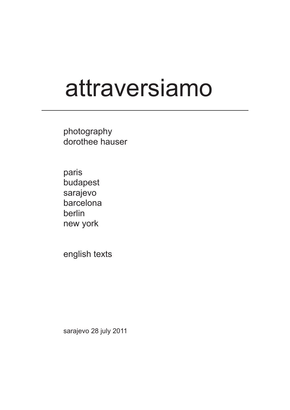# attraversiamo

photography dorothee hauser

paris budapest sarajevo barcelona berlin new york

english texts

sarajevo 28 july 2011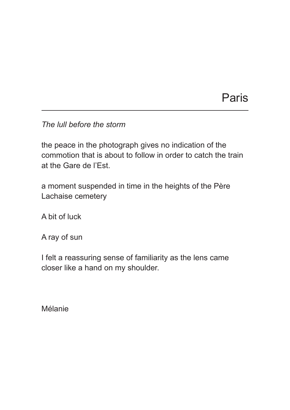# Paris

*The lull before the storm*

the peace in the photograph gives no indication of the commotion that is about to follow in order to catch the train at the Gare de l'Est.

a moment suspended in time in the heights of the Père Lachaise cemetery

A bit of luck

A ray of sun

I felt a reassuring sense of familiarity as the lens came closer like a hand on my shoulder.

Mélanie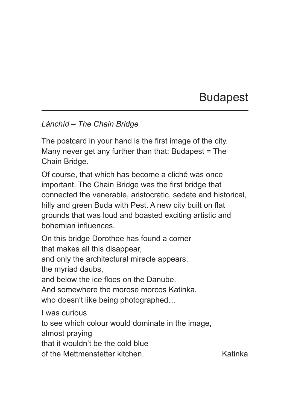# Budapest

#### *Lánchíd – The Chain Bridge*

The postcard in your hand is the first image of the city. Many never get any further than that: Budapest = The Chain Bridge.

Of course, that which has become a cliché was once important. The Chain Bridge was the first bridge that connected the venerable, aristocratic, sedate and historical, hilly and green Buda with Pest. A new city built on flat grounds that was loud and boasted exciting artistic and bohemian influences.

On this bridge Dorothee has found a corner that makes all this disappear, and only the architectural miracle appears, the myriad daubs, and below the ice floes on the Danube. And somewhere the morose morcos Katinka, who doesn't like being photographed… I was curious to see which colour would dominate in the image, almost praying that it wouldn't be the cold blue of the Mettmenstetter kitchen. The Katinka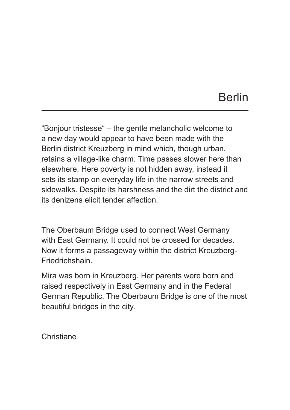#### Berlin

"Bonjour tristesse" – the gentle melancholic welcome to a new day would appear to have been made with the Berlin district Kreuzberg in mind which, though urban, retains a village-like charm. Time passes slower here than elsewhere. Here poverty is not hidden away, instead it sets its stamp on everyday life in the narrow streets and sidewalks. Despite its harshness and the dirt the district and its denizens elicit tender affection.

The Oberbaum Bridge used to connect West Germany with East Germany. It could not be crossed for decades. Now it forms a passageway within the district Kreuzberg-Friedrichshain.

Mira was born in Kreuzberg. Her parents were born and raised respectively in East Germany and in the Federal German Republic. The Oberbaum Bridge is one of the most beautiful bridges in the city.

**Christiane**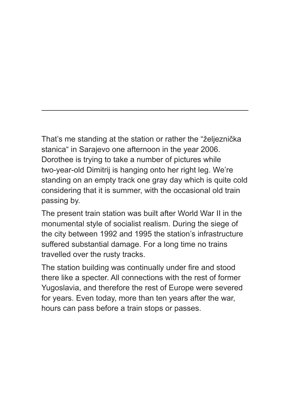That's me standing at the station or rather the "željeznička stanica" in Sarajevo one afternoon in the year 2006. Dorothee is trying to take a number of pictures while two-year-old Dimitrij is hanging onto her right leg. We're standing on an empty track one gray day which is quite cold considering that it is summer, with the occasional old train passing by.

The present train station was built after World War II in the monumental style of socialist realism. During the siege of the city between 1992 and 1995 the station's infrastructure suffered substantial damage. For a long time no trains travelled over the rusty tracks.

The station building was continually under fire and stood there like a specter. All connections with the rest of former Yugoslavia, and therefore the rest of Europe were severed for years. Even today, more than ten years after the war, hours can pass before a train stops or passes.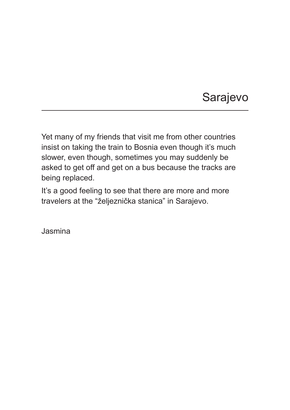# Sarajevo

Yet many of my friends that visit me from other countries insist on taking the train to Bosnia even though it's much slower, even though, sometimes you may suddenly be asked to get off and get on a bus because the tracks are being replaced.

It's a good feeling to see that there are more and more travelers at the "željeznička stanica" in Sarajevo.

Jasmina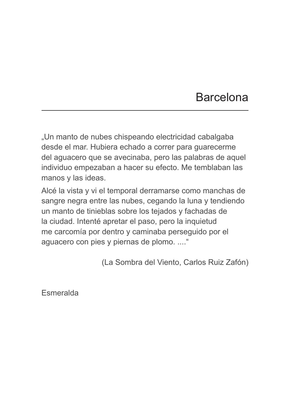#### Barcelona

"Un manto de nubes chispeando electricidad cabalgaba desde el mar. Hubiera echado a correr para guarecerme del aguacero que se avecinaba, pero las palabras de aquel individuo empezaban a hacer su efecto. Me temblaban las manos y las ideas.

Alcé la vista y vi el temporal derramarse como manchas de sangre negra entre las nubes, cegando la luna y tendiendo un manto de tinieblas sobre los tejados y fachadas de la ciudad. Intenté apretar el paso, pero la inquietud me carcomía por dentro y caminaba perseguido por el aguacero con pies y piernas de plomo. ...."

(La Sombra del Viento, Carlos Ruiz Zafón)

**Esmeralda**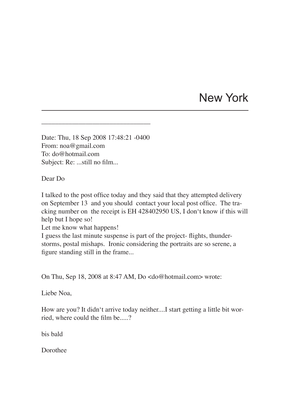### New York

Date: Thu, 18 Sep 2008 17:48:21 -0400 From: noa@gmail.com To: do@hotmail.com Subject: Re: ...still no film...

\_\_\_\_\_\_\_\_\_\_\_\_\_\_\_\_\_\_\_\_\_\_\_\_\_\_\_\_\_\_\_\_

Dear Do

I talked to the post office today and they said that they attempted delivery on September 13 and you should contact your local post office. The tracking number on the receipt is EH 428402950 US, I don't know if this will help but I hope so!

Let me know what happens!

I guess the last minute suspense is part of the project- flights, thunderstorms, postal mishaps. Ironic considering the portraits are so serene, a figure standing still in the frame...

On Thu, Sep 18, 2008 at 8:47 AM, Do <do@hotmail.com> wrote:

Liebe Noa,

How are you? It didn't arrive today neither....I start getting a little bit worried, where could the film be.....?

bis bald

Dorothee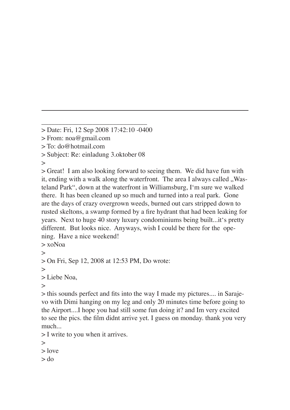> From: noa@gmail.com

> To: do@hotmail.com

> Subject: Re: einladung 3.oktober 08

 $\geq$ 

> Great! I am also looking forward to seeing them. We did have fun with it, ending with a walk along the waterfront. The area I always called . Wasteland Park", down at the waterfront in Williamsburg, I'm sure we walked there. It has been cleaned up so much and turned into a real park. Gone are the days of crazy overgrown weeds, burned out cars stripped down to rusted skeltons, a swamp formed by a fire hydrant that had been leaking for years. Next to huge 40 story luxury condominiums being built...it's pretty different. But looks nice. Anyways, wish I could be there for the opening. Have a nice weekend!

> xoNoa  $\geq$ > On Fri, Sep 12, 2008 at 12:53 PM, Do wrote:  $\geq$ > Liebe Noa,  $\geq$ > this sounds perfect and fits into the way I made my pictures.... in Saraje-

vo with Dimi hanging on my leg and only 20 minutes time before going to the Airport....I hope you had still some fun doing it? and Im very excited to see the pics. the film didnt arrive yet. I guess on monday. thank you very much...

> I write to you when it arrives.

 $>$ 

> love

> do

\_\_\_\_\_\_\_\_\_\_\_\_\_\_\_\_\_\_\_\_\_\_\_\_\_\_\_\_\_\_\_ > Date: Fri, 12 Sep 2008 17:42:10 -0400